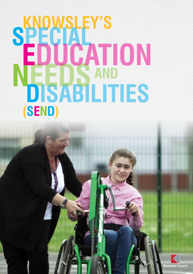# **SPECIAL DISABILITIES EDUCATION <sup>S</sup> (SEND) N E**

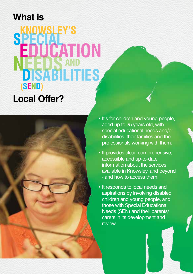#### **What is**

### **Knowsley's SPECIAL NEEDS AND EDUCATION (SEND) N E Local Offer?**



- It's for children and young people, aged up to 25 years old, with special educational needs and/or disabilities, their families and the professionals working with them.
- It provides clear, comprehensive, accessible and up-to-date information about the services available in Knowsley, and beyond - and how to access them.
- It responds to local needs and aspirations by involving disabled children and young people, and those with Special Educational Needs (SEN) and their parents/ carers in its development and review.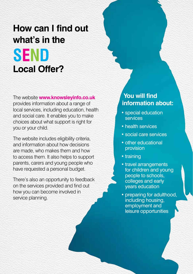# **SEND How can I find out what's in the Local Offer?**

The website **www.knowsleyinfo.co.uk** provides information about a range of local services, including education, health and social care. It enables you to make choices about what support is right for you or your child.

The website includes eligibility criteria, and information about how decisions are made, who makes them and how to access them. It also helps to support parents, carers and young people who have requested a personal budget.

There's also an opportunity to feedback on the services provided and find out how you can become involved in service planning.

#### **You will find information about:**

- special education services
- health services
- social care services
- other educational provision
- training
- travel arrangements for children and young people to schools, colleges and early years education
- preparing for adulthood, including housing, employment and leisure opportunities